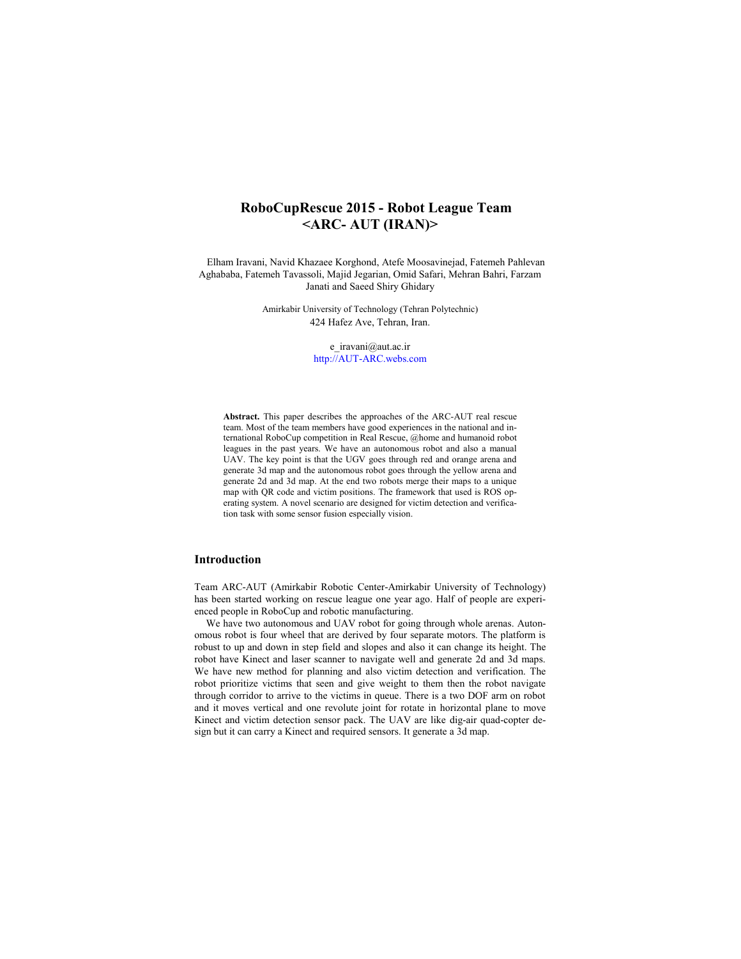# **RoboCupRescue 2015 - Robot League Team <ARC- AUT (IRAN)>**

Elham Iravani, Navid Khazaee Korghond, Atefe Moosavinejad, Fatemeh Pahlevan Aghababa, Fatemeh Tavassoli, Majid Jegarian, Omid Safari, Mehran Bahri, Farzam Janati and Saeed Shiry Ghidary

> Amirkabir University of Technology (Tehran Polytechnic) 424 Hafez Ave, Tehran, Iran.

> > e\_iravani@aut.ac.ir http://AUT-ARC.webs.com

**Abstract.** This paper describes the approaches of the ARC-AUT real rescue team. Most of the team members have good experiences in the national and international RoboCup competition in Real Rescue, @home and humanoid robot leagues in the past years. We have an autonomous robot and also a manual UAV. The key point is that the UGV goes through red and orange arena and generate 3d map and the autonomous robot goes through the yellow arena and generate 2d and 3d map. At the end two robots merge their maps to a unique map with QR code and victim positions. The framework that used is ROS operating system. A novel scenario are designed for victim detection and verification task with some sensor fusion especially vision.

## **Introduction**

Team ARC-AUT (Amirkabir Robotic Center-Amirkabir University of Technology) has been started working on rescue league one year ago. Half of people are experienced people in RoboCup and robotic manufacturing.

We have two autonomous and UAV robot for going through whole arenas. Autonomous robot is four wheel that are derived by four separate motors. The platform is robust to up and down in step field and slopes and also it can change its height. The robot have Kinect and laser scanner to navigate well and generate 2d and 3d maps. We have new method for planning and also victim detection and verification. The robot prioritize victims that seen and give weight to them then the robot navigate through corridor to arrive to the victims in queue. There is a two DOF arm on robot and it moves vertical and one revolute joint for rotate in horizontal plane to move Kinect and victim detection sensor pack. The UAV are like dig-air quad-copter design but it can carry a Kinect and required sensors. It generate a 3d map.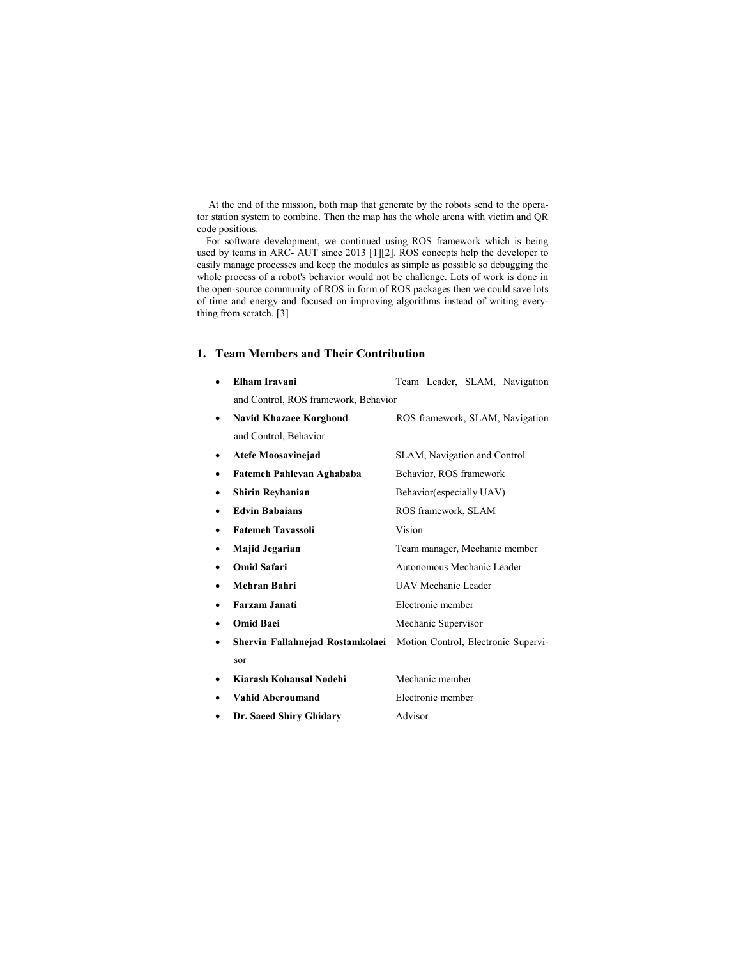At the end of the mission, both map that generate by the robots send to the operator station system to combine. Then the map has the whole arena with victim and QR code positions.

For software development, we continued using ROS framework which is being used by teams in ARC- AUT since 2013 [1][2]. ROS concepts help the developer to easily manage processes and keep the modules as simple as possible so debugging the whole process of a robot's behavior would not be challenge. Lots of work is done in the open-source community of ROS in form of ROS packages then we could save lots of time and energy and focused on improving algorithms instead of writing everything from scratch. [3]

## **1. Team Members and Their Contribution**

|   | Elham Iravani                        | Team Leader, SLAM, Navigation       |  |  |  |
|---|--------------------------------------|-------------------------------------|--|--|--|
|   | and Control, ROS framework, Behavior |                                     |  |  |  |
| ٠ | <b>Navid Khazaee Korghond</b>        | ROS framework, SLAM, Navigation     |  |  |  |
|   | and Control, Behavior                |                                     |  |  |  |
| ٠ | <b>Atefe Moosavinejad</b>            | SLAM, Navigation and Control        |  |  |  |
| ٠ | Fatemeh Pahlevan Aghababa            | Behavior, ROS framework             |  |  |  |
| ٠ | <b>Shirin Reyhanian</b>              | Behavior (especially UAV)           |  |  |  |
|   | <b>Edvin Babaians</b>                | ROS framework, SLAM                 |  |  |  |
|   | <b>Fatemeh Tavassoli</b>             | Vision                              |  |  |  |
|   | Majid Jegarian                       | Team manager, Mechanic member       |  |  |  |
|   | Omid Safari                          | Autonomous Mechanic Leader          |  |  |  |
| ٠ | Mehran Bahri                         | <b>UAV Mechanic Leader</b>          |  |  |  |
|   | Farzam Janati                        | Electronic member                   |  |  |  |
|   | <b>Omid Baei</b>                     | Mechanic Supervisor                 |  |  |  |
|   | Shervin Fallahnejad Rostamkolaei     | Motion Control, Electronic Supervi- |  |  |  |
|   | sor                                  |                                     |  |  |  |
|   | Kiarash Kohansal Nodehi              | Mechanic member                     |  |  |  |
|   | Vahid Aberoumand                     | Electronic member                   |  |  |  |
|   | Dr. Saeed Shiry Ghidary              | Advisor                             |  |  |  |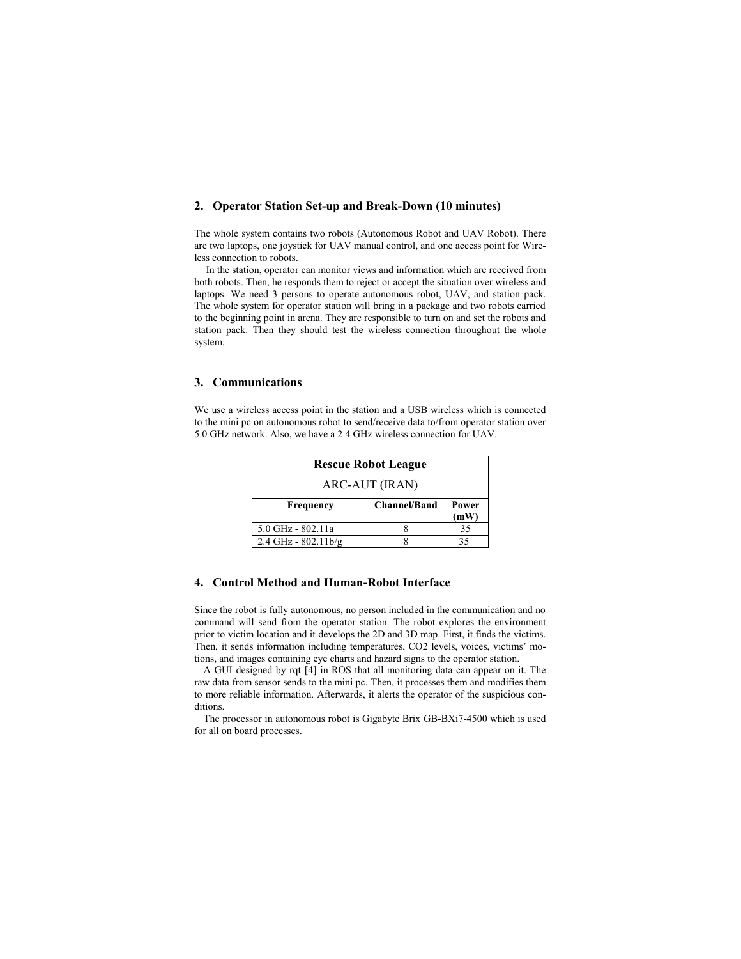### **2. Operator Station Set-up and Break-Down (10 minutes)**

The whole system contains two robots (Autonomous Robot and UAV Robot). There are two laptops, one joystick for UAV manual control, and one access point for Wireless connection to robots.

In the station, operator can monitor views and information which are received from both robots. Then, he responds them to reject or accept the situation over wireless and laptops. We need 3 persons to operate autonomous robot, UAV, and station pack. The whole system for operator station will bring in a package and two robots carried to the beginning point in arena. They are responsible to turn on and set the robots and station pack. Then they should test the wireless connection throughout the whole system.

### **3. Communications**

We use a wireless access point in the station and a USB wireless which is connected to the mini pc on autonomous robot to send/receive data to/from operator station over 5.0 GHz network. Also, we have a 2.4 GHz wireless connection for UAV.

| <b>Rescue Robot League</b> |                     |               |  |
|----------------------------|---------------------|---------------|--|
| ARC-AUT (IRAN)             |                     |               |  |
| Frequency                  | <b>Channel/Band</b> | Power<br>(mW) |  |
| 5.0 GHz - 802.11a          |                     | 35            |  |
| $2.4$ GHz - $802.11$ b/g   |                     |               |  |

## **4. Control Method and Human-Robot Interface**

Since the robot is fully autonomous, no person included in the communication and no command will send from the operator station. The robot explores the environment prior to victim location and it develops the 2D and 3D map. First, it finds the victims. Then, it sends information including temperatures, CO2 levels, voices, victims' motions, and images containing eye charts and hazard signs to the operator station.

A GUI designed by rqt [4] in ROS that all monitoring data can appear on it. The raw data from sensor sends to the mini pc. Then, it processes them and modifies them to more reliable information. Afterwards, it alerts the operator of the suspicious conditions.

The processor in autonomous robot is Gigabyte Brix GB-BXi7-4500 which is used for all on board processes.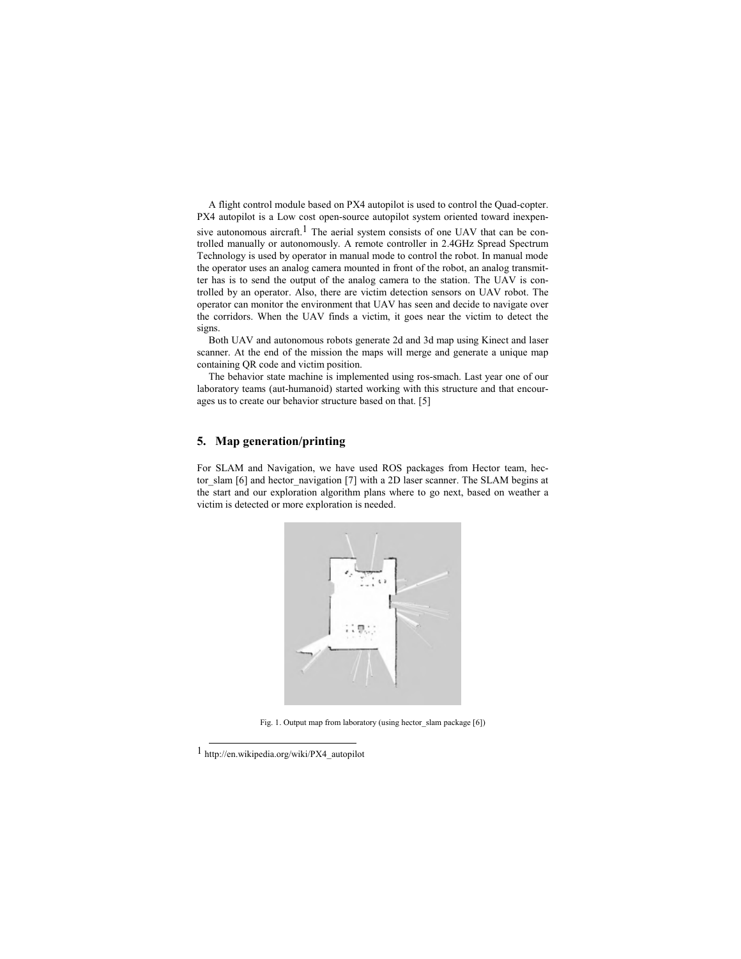A flight control module based on PX4 autopilot is used to control the Quad-copter. PX4 autopilot is a Low cost open-source autopilot system oriented toward inexpensive autonomous aircraft.<sup>1</sup> The aerial system consists of one UAV that can be controlled manually or autonomously. A remote controller in 2.4GHz Spread Spectrum Technology is used by operator in manual mode to control the robot. In manual mode the operator uses an analog camera mounted in front of the robot, an analog transmitter has is to send the output of the analog camera to the station. The UAV is controlled by an operator. Also, there are victim detection sensors on UAV robot. The operator can monitor the environment that UAV has seen and decide to navigate over the corridors. When the UAV finds a victim, it goes near the victim to detect the signs.

Both UAV and autonomous robots generate 2d and 3d map using Kinect and laser scanner. At the end of the mission the maps will merge and generate a unique map containing QR code and victim position.

The behavior state machine is implemented using ros-smach. Last year one of our laboratory teams (aut-humanoid) started working with this structure and that encourages us to create our behavior structure based on that. [5]

### **5. Map generation/printing**

For SLAM and Navigation, we have used ROS packages from Hector team, hector\_slam [6] and hector\_navigation [7] with a 2D laser scanner. The SLAM begins at the start and our exploration algorithm plans where to go next, based on weather a victim is detected or more exploration is needed.



Fig. 1. Output map from laboratory (using hector slam package [6])

<sup>1</sup> http://en.wikipedia.org/wiki/PX4\_autopilot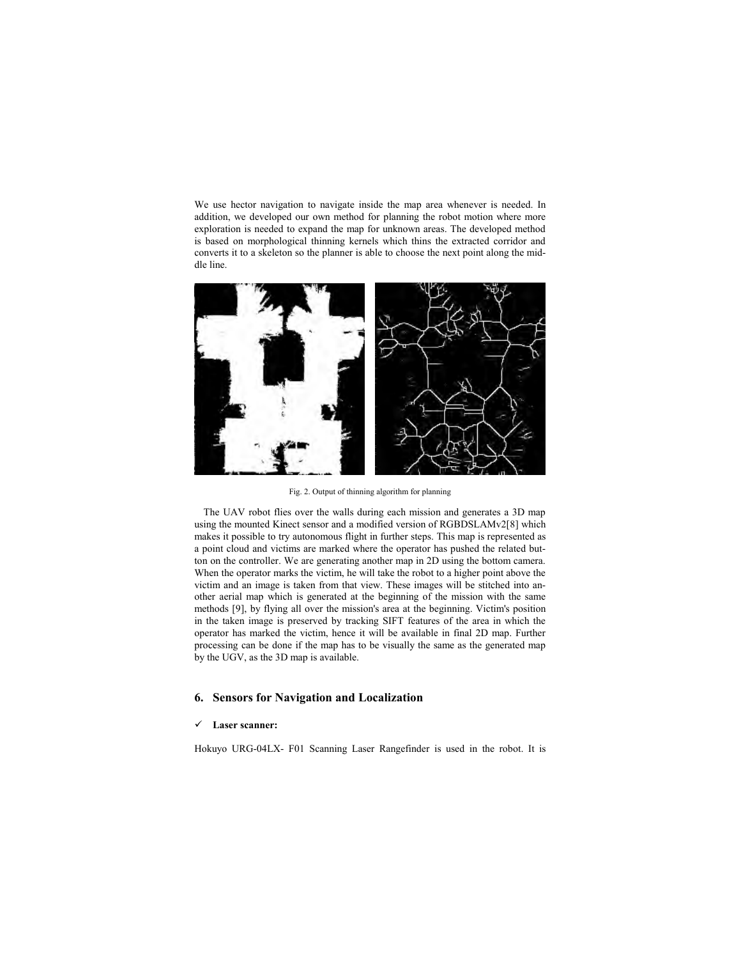We use hector navigation to navigate inside the map area whenever is needed. In addition, we developed our own method for planning the robot motion where more exploration is needed to expand the map for unknown areas. The developed method is based on morphological thinning kernels which thins the extracted corridor and converts it to a skeleton so the planner is able to choose the next point along the middle line.



Fig. 2. Output of thinning algorithm for planning

The UAV robot flies over the walls during each mission and generates a 3D map using the mounted Kinect sensor and a modified version of RGBDSLAMv2[8] which makes it possible to try autonomous flight in further steps. This map is represented as a point cloud and victims are marked where the operator has pushed the related button on the controller. We are generating another map in 2D using the bottom camera. When the operator marks the victim, he will take the robot to a higher point above the victim and an image is taken from that view. These images will be stitched into another aerial map which is generated at the beginning of the mission with the same methods [9], by flying all over the mission's area at the beginning. Victim's position in the taken image is preserved by tracking SIFT features of the area in which the operator has marked the victim, hence it will be available in final 2D map. Further processing can be done if the map has to be visually the same as the generated map by the UGV, as the 3D map is available.

## **6. Sensors for Navigation and Localization**

#### 9 **Laser scanner:**

Hokuyo URG-04LX- F01 Scanning Laser Rangefinder is used in the robot. It is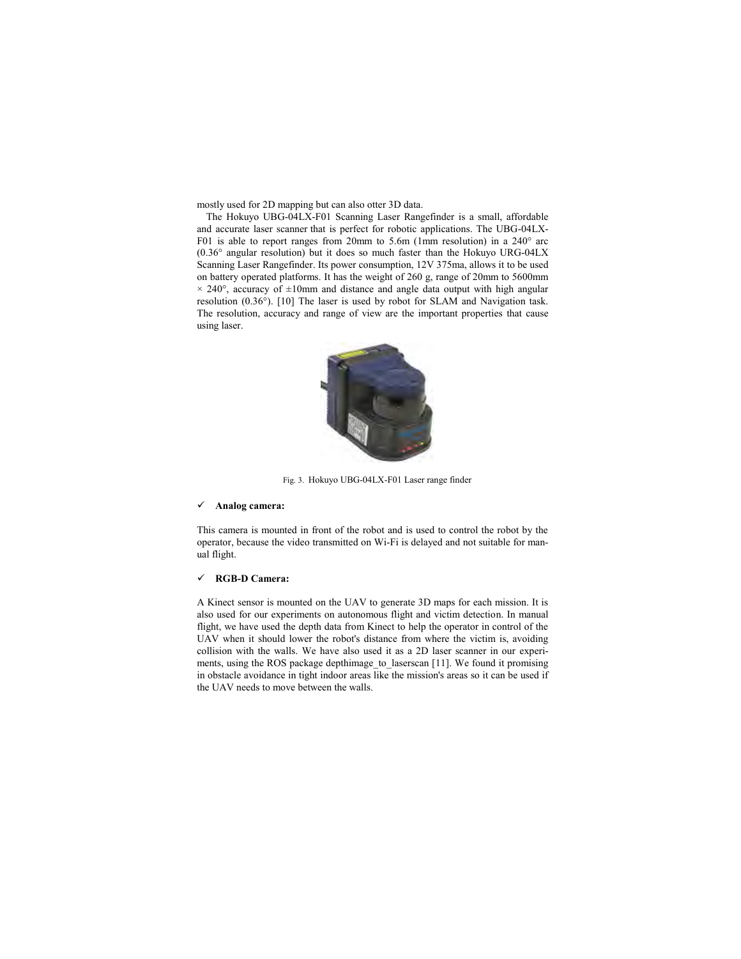mostly used for 2D mapping but can also otter 3D data.

The Hokuyo UBG-04LX-F01 Scanning Laser Rangefinder is a small, affordable and accurate laser scanner that is perfect for robotic applications. The UBG-04LX-F01 is able to report ranges from 20mm to 5.6m (1mm resolution) in a 240° arc (0.36° angular resolution) but it does so much faster than the Hokuyo URG-04LX Scanning Laser Rangefinder. Its power consumption, 12V 375ma, allows it to be used on battery operated platforms. It has the weight of 260 g, range of 20mm to 5600mm  $\times$  240°, accuracy of  $\pm 10$ mm and distance and angle data output with high angular resolution (0.36°). [10] The laser is used by robot for SLAM and Navigation task. The resolution, accuracy and range of view are the important properties that cause using laser.



Fig. 3. Hokuyo UBG-04LX-F01 Laser range finder

#### 9 **Analog camera:**

This camera is mounted in front of the robot and is used to control the robot by the operator, because the video transmitted on Wi-Fi is delayed and not suitable for manual flight.

#### 9 **RGB-D Camera:**

A Kinect sensor is mounted on the UAV to generate 3D maps for each mission. It is also used for our experiments on autonomous flight and victim detection. In manual flight, we have used the depth data from Kinect to help the operator in control of the UAV when it should lower the robot's distance from where the victim is, avoiding collision with the walls. We have also used it as a 2D laser scanner in our experiments, using the ROS package depthimage\_to\_laserscan [11]. We found it promising in obstacle avoidance in tight indoor areas like the mission's areas so it can be used if the UAV needs to move between the walls.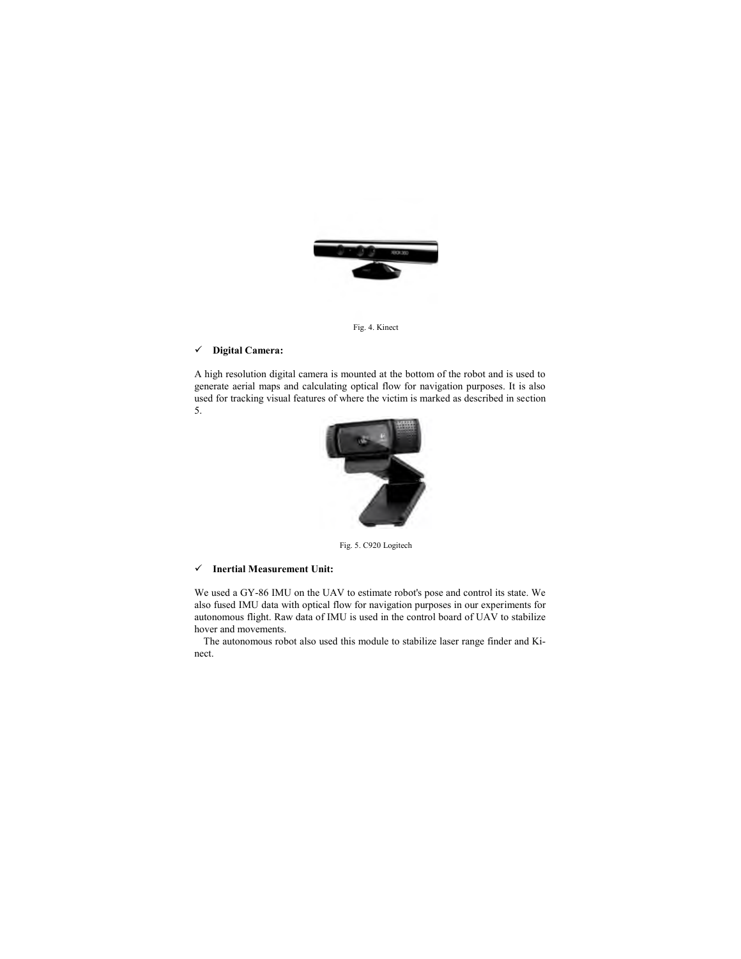

Fig. 4. Kinect

## 9 **Digital Camera:**

A high resolution digital camera is mounted at the bottom of the robot and is used to generate aerial maps and calculating optical flow for navigation purposes. It is also used for tracking visual features of where the victim is marked as described in section 5.



Fig. 5. C920 Logitech

#### 9 **Inertial Measurement Unit:**

We used a GY-86 IMU on the UAV to estimate robot's pose and control its state. We also fused IMU data with optical flow for navigation purposes in our experiments for autonomous flight. Raw data of IMU is used in the control board of UAV to stabilize hover and movements.

The autonomous robot also used this module to stabilize laser range finder and Kinect.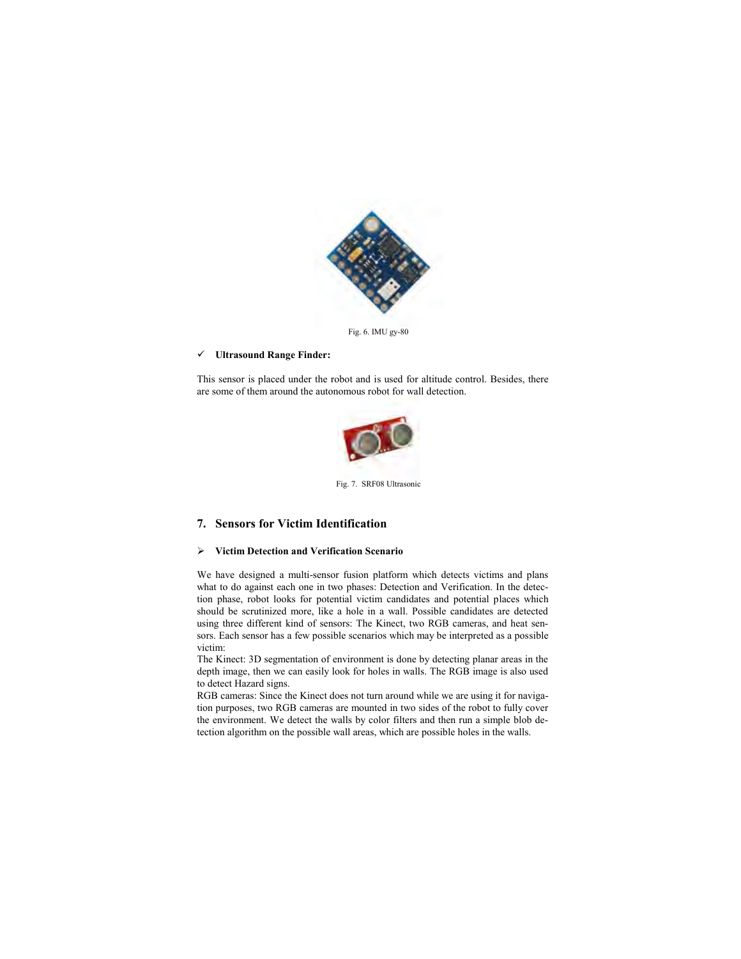

Fig. 6. IMU gy-80

#### 9 **Ultrasound Range Finder:**

This sensor is placed under the robot and is used for altitude control. Besides, there are some of them around the autonomous robot for wall detection.



Fig. 7. SRF08 Ultrasonic

## **7. Sensors for Victim Identification**

### ¾ **Victim Detection and Verification Scenario**

We have designed a multi-sensor fusion platform which detects victims and plans what to do against each one in two phases: Detection and Verification. In the detection phase, robot looks for potential victim candidates and potential places which should be scrutinized more, like a hole in a wall. Possible candidates are detected using three different kind of sensors: The Kinect, two RGB cameras, and heat sensors. Each sensor has a few possible scenarios which may be interpreted as a possible victim:

The Kinect: 3D segmentation of environment is done by detecting planar areas in the depth image, then we can easily look for holes in walls. The RGB image is also used to detect Hazard signs.

RGB cameras: Since the Kinect does not turn around while we are using it for navigation purposes, two RGB cameras are mounted in two sides of the robot to fully cover the environment. We detect the walls by color filters and then run a simple blob detection algorithm on the possible wall areas, which are possible holes in the walls.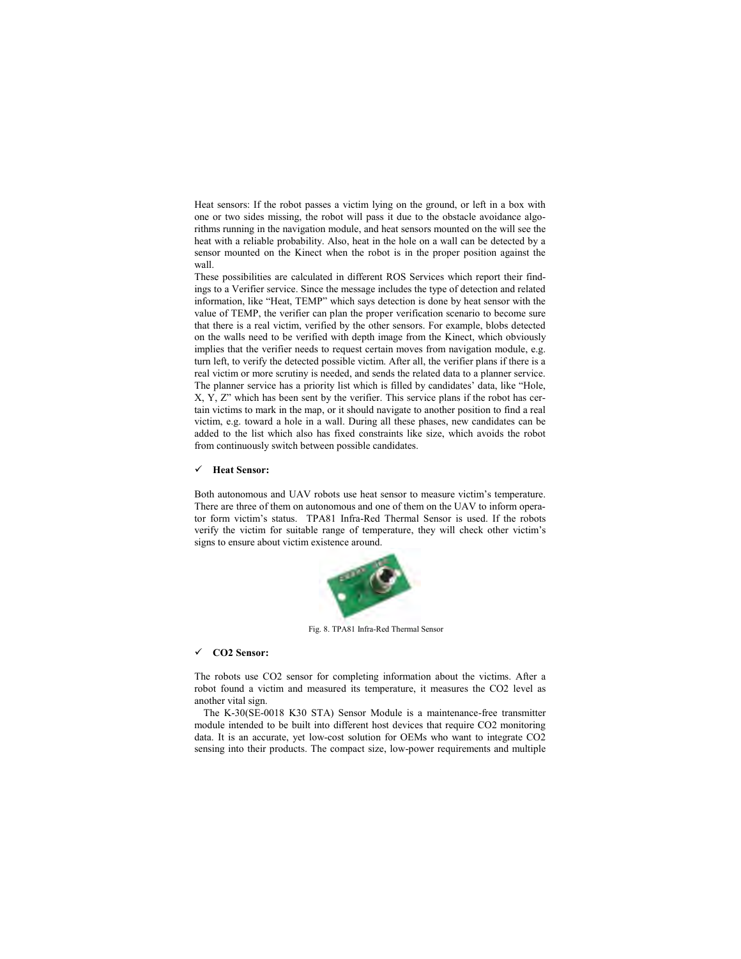Heat sensors: If the robot passes a victim lying on the ground, or left in a box with one or two sides missing, the robot will pass it due to the obstacle avoidance algorithms running in the navigation module, and heat sensors mounted on the will see the heat with a reliable probability. Also, heat in the hole on a wall can be detected by a sensor mounted on the Kinect when the robot is in the proper position against the wall.

These possibilities are calculated in different ROS Services which report their findings to a Verifier service. Since the message includes the type of detection and related information, like "Heat, TEMP" which says detection is done by heat sensor with the value of TEMP, the verifier can plan the proper verification scenario to become sure that there is a real victim, verified by the other sensors. For example, blobs detected on the walls need to be verified with depth image from the Kinect, which obviously implies that the verifier needs to request certain moves from navigation module, e.g. turn left, to verify the detected possible victim. After all, the verifier plans if there is a real victim or more scrutiny is needed, and sends the related data to a planner service. The planner service has a priority list which is filled by candidates' data, like "Hole, X, Y, Z" which has been sent by the verifier. This service plans if the robot has certain victims to mark in the map, or it should navigate to another position to find a real victim, e.g. toward a hole in a wall. During all these phases, new candidates can be added to the list which also has fixed constraints like size, which avoids the robot from continuously switch between possible candidates.

#### 9 **Heat Sensor:**

Both autonomous and UAV robots use heat sensor to measure victim's temperature. There are three of them on autonomous and one of them on the UAV to inform operator form victim's status. TPA81 Infra-Red Thermal Sensor is used. If the robots verify the victim for suitable range of temperature, they will check other victim's signs to ensure about victim existence around.



Fig. 8. TPA81 Infra-Red Thermal Sensor

## 9 **CO2 Sensor:**

The robots use CO2 sensor for completing information about the victims. After a robot found a victim and measured its temperature, it measures the CO2 level as another vital sign.

The K-30(SE-0018 K30 STA) Sensor Module is a maintenance-free transmitter module intended to be built into different host devices that require CO2 monitoring data. It is an accurate, yet low-cost solution for OEMs who want to integrate CO2 sensing into their products. The compact size, low-power requirements and multiple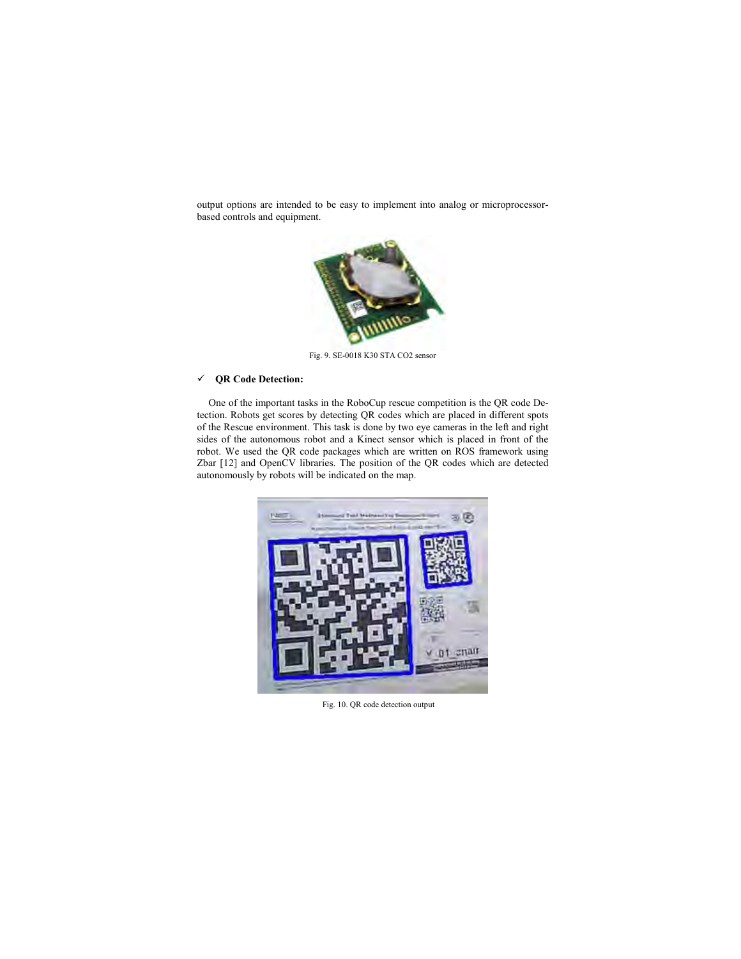output options are intended to be easy to implement into analog or microprocessorbased controls and equipment.



Fig. 9. SE-0018 K30 STA CO2 sensor

## 9 **QR Code Detection:**

One of the important tasks in the RoboCup rescue competition is the QR code Detection. Robots get scores by detecting QR codes which are placed in different spots of the Rescue environment. This task is done by two eye cameras in the left and right sides of the autonomous robot and a Kinect sensor which is placed in front of the robot. We used the QR code packages which are written on ROS framework using Zbar [12] and OpenCV libraries. The position of the QR codes which are detected autonomously by robots will be indicated on the map.



Fig. 10. QR code detection output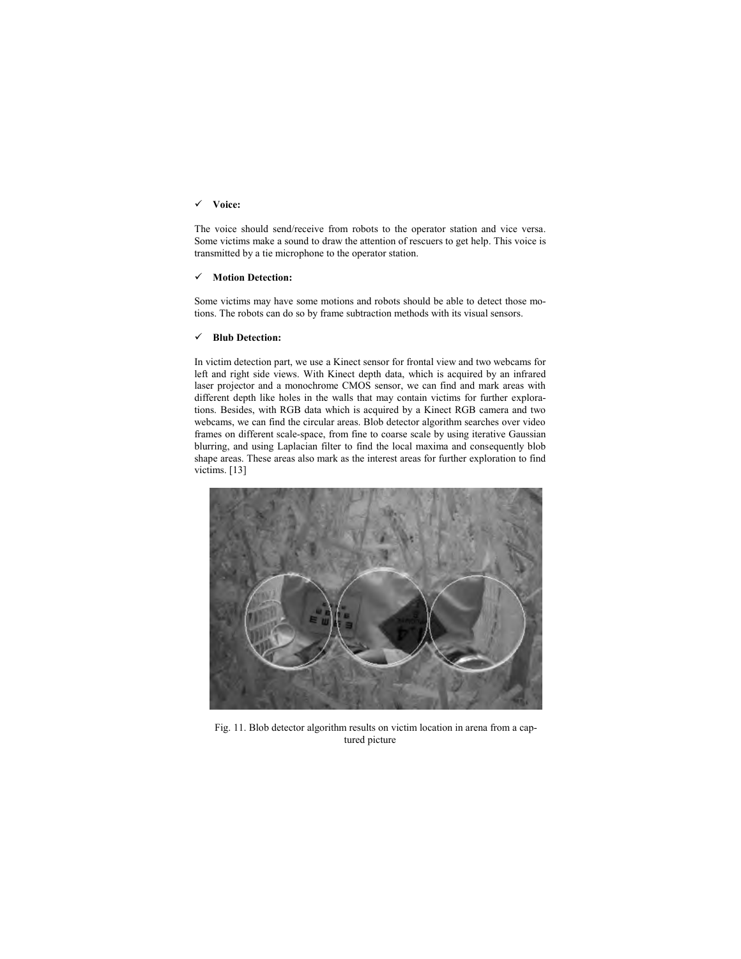#### 9 **Voice:**

The voice should send/receive from robots to the operator station and vice versa. Some victims make a sound to draw the attention of rescuers to get help. This voice is transmitted by a tie microphone to the operator station.

#### 9 **Motion Detection:**

Some victims may have some motions and robots should be able to detect those motions. The robots can do so by frame subtraction methods with its visual sensors.

### 9 **Blub Detection:**

In victim detection part, we use a Kinect sensor for frontal view and two webcams for left and right side views. With Kinect depth data, which is acquired by an infrared laser projector and a monochrome CMOS sensor, we can find and mark areas with different depth like holes in the walls that may contain victims for further explorations. Besides, with RGB data which is acquired by a Kinect RGB camera and two webcams, we can find the circular areas. Blob detector algorithm searches over video frames on different scale-space, from fine to coarse scale by using iterative Gaussian blurring, and using Laplacian filter to find the local maxima and consequently blob shape areas. These areas also mark as the interest areas for further exploration to find victims. [13]



Fig. 11. Blob detector algorithm results on victim location in arena from a captured picture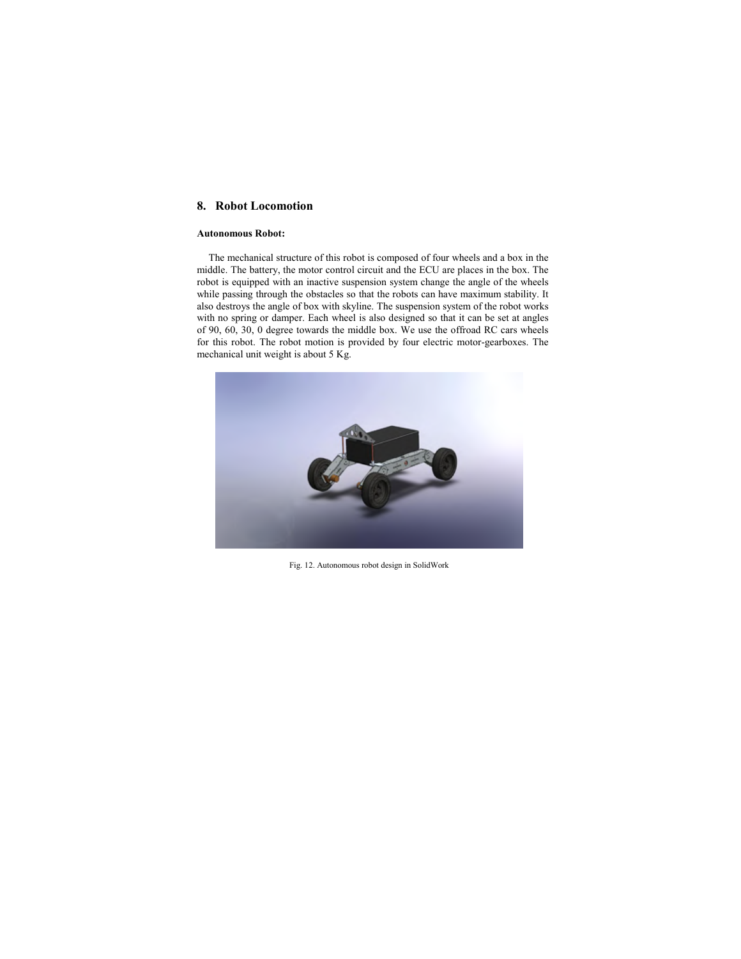# **8. Robot Locomotion**

### **Autonomous Robot:**

The mechanical structure of this robot is composed of four wheels and a box in the middle. The battery, the motor control circuit and the ECU are places in the box. The robot is equipped with an inactive suspension system change the angle of the wheels while passing through the obstacles so that the robots can have maximum stability. It also destroys the angle of box with skyline. The suspension system of the robot works with no spring or damper. Each wheel is also designed so that it can be set at angles of 90, 60, 30, 0 degree towards the middle box. We use the offroad RC cars wheels for this robot. The robot motion is provided by four electric motor-gearboxes. The mechanical unit weight is about 5 Kg.



Fig. 12. Autonomous robot design in SolidWork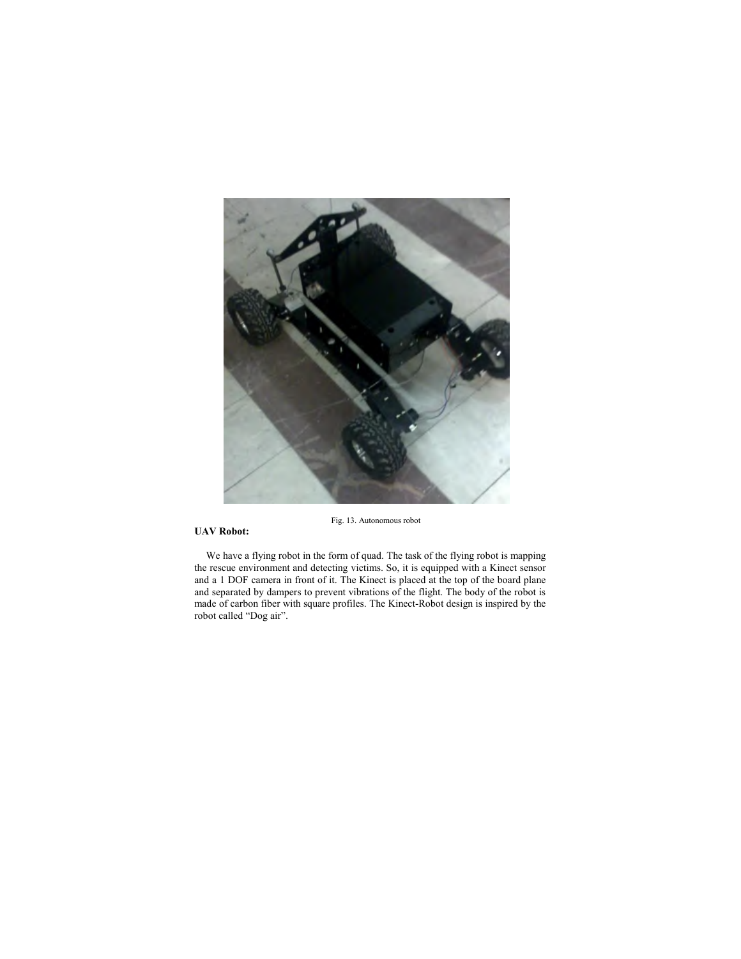

Fig. 13. Autonomous robot

## **UAV Robot:**

We have a flying robot in the form of quad. The task of the flying robot is mapping the rescue environment and detecting victims. So, it is equipped with a Kinect sensor and a 1 DOF camera in front of it. The Kinect is placed at the top of the board plane and separated by dampers to prevent vibrations of the flight. The body of the robot is made of carbon fiber with square profiles. The Kinect-Robot design is inspired by the robot called "Dog air".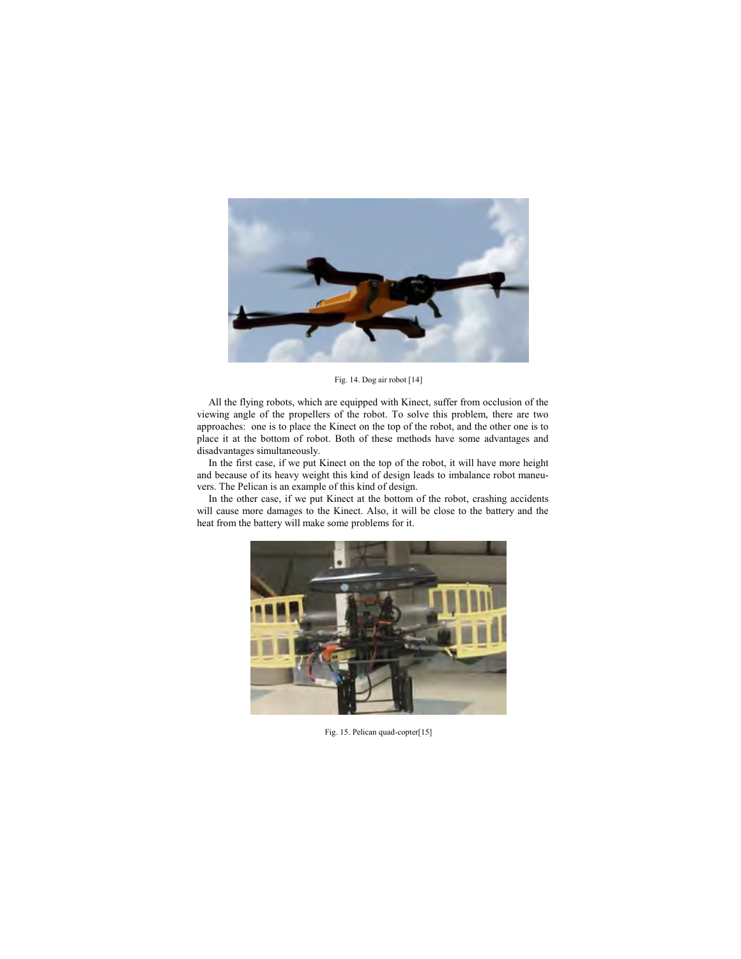

Fig. 14. Dog air robot [14]

All the flying robots, which are equipped with Kinect, suffer from occlusion of the viewing angle of the propellers of the robot. To solve this problem, there are two approaches: one is to place the Kinect on the top of the robot, and the other one is to place it at the bottom of robot. Both of these methods have some advantages and disadvantages simultaneously.

In the first case, if we put Kinect on the top of the robot, it will have more height and because of its heavy weight this kind of design leads to imbalance robot maneuvers. The Pelican is an example of this kind of design.

In the other case, if we put Kinect at the bottom of the robot, crashing accidents will cause more damages to the Kinect. Also, it will be close to the battery and the heat from the battery will make some problems for it.



Fig. 15. Pelican quad-copter[15]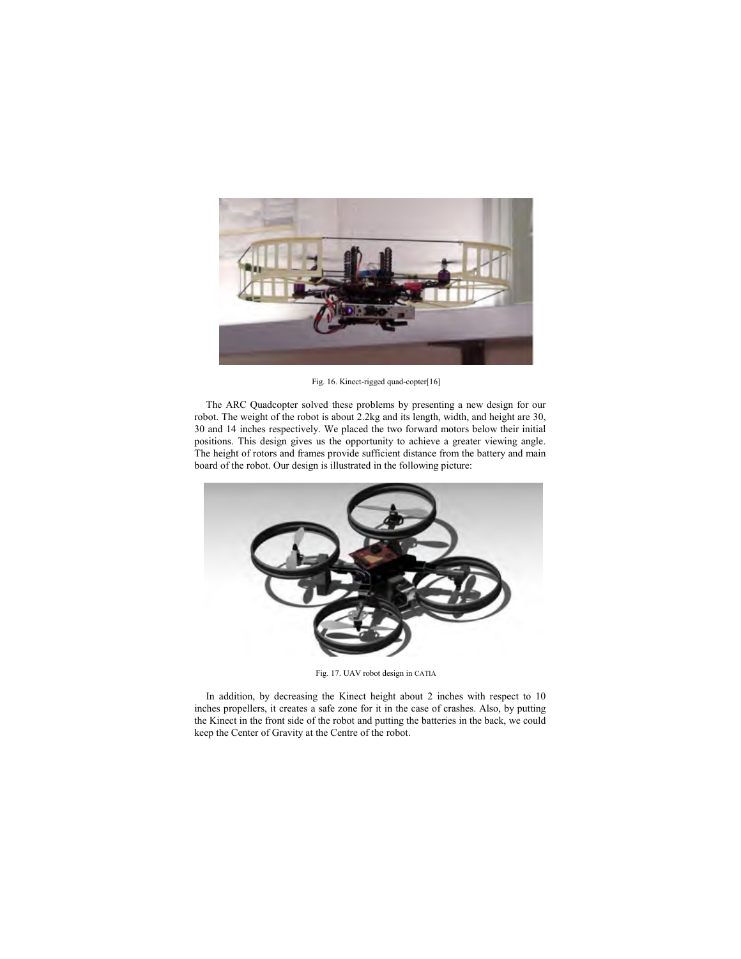

Fig. 16. Kinect-rigged quad-copter[16]

The ARC Quadcopter solved these problems by presenting a new design for our robot. The weight of the robot is about 2.2kg and its length, width, and height are 30, 30 and 14 inches respectively. We placed the two forward motors below their initial positions. This design gives us the opportunity to achieve a greater viewing angle. The height of rotors and frames provide sufficient distance from the battery and main board of the robot. Our design is illustrated in the following picture:



Fig. 17. UAV robot design in CATIA

In addition, by decreasing the Kinect height about 2 inches with respect to 10 inches propellers, it creates a safe zone for it in the case of crashes. Also, by putting the Kinect in the front side of the robot and putting the batteries in the back, we could keep the Center of Gravity at the Centre of the robot.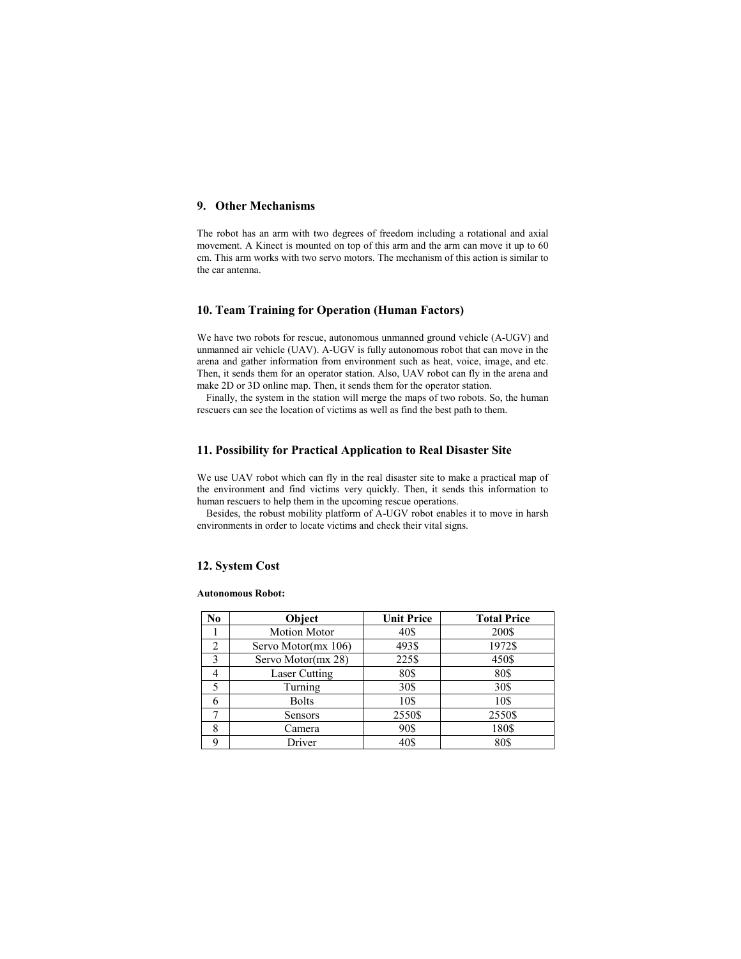## **9. Other Mechanisms**

The robot has an arm with two degrees of freedom including a rotational and axial movement. A Kinect is mounted on top of this arm and the arm can move it up to 60 cm. This arm works with two servo motors. The mechanism of this action is similar to the car antenna.

### **10. Team Training for Operation (Human Factors)**

We have two robots for rescue, autonomous unmanned ground vehicle (A-UGV) and unmanned air vehicle (UAV). A-UGV is fully autonomous robot that can move in the arena and gather information from environment such as heat, voice, image, and etc. Then, it sends them for an operator station. Also, UAV robot can fly in the arena and make 2D or 3D online map. Then, it sends them for the operator station.

Finally, the system in the station will merge the maps of two robots. So, the human rescuers can see the location of victims as well as find the best path to them.

#### **11. Possibility for Practical Application to Real Disaster Site**

We use UAV robot which can fly in the real disaster site to make a practical map of the environment and find victims very quickly. Then, it sends this information to human rescuers to help them in the upcoming rescue operations.

Besides, the robust mobility platform of A-UGV robot enables it to move in harsh environments in order to locate victims and check their vital signs.

## **12. System Cost**

#### **Autonomous Robot:**

| N <sub>0</sub> | Object               | <b>Unit Price</b> | <b>Total Price</b> |
|----------------|----------------------|-------------------|--------------------|
|                | <b>Motion Motor</b>  | 40\$              | 200\$              |
| 2              | Servo Motor(mx 106)  | 493\$             | 1972\$             |
| ζ              | Servo Motor(mx 28)   | 225\$             | 450\$              |
|                | <b>Laser Cutting</b> | 80\$              | 80\$               |
|                | Turning              | 30\$              | 30\$               |
|                | <b>Bolts</b>         | 10\$              | 10\$               |
|                | Sensors              | 2550\$            | 2550\$             |
| 8              | Camera               | 90\$              | 180\$              |
| Q              | Driver               | 40\$              | 80\$               |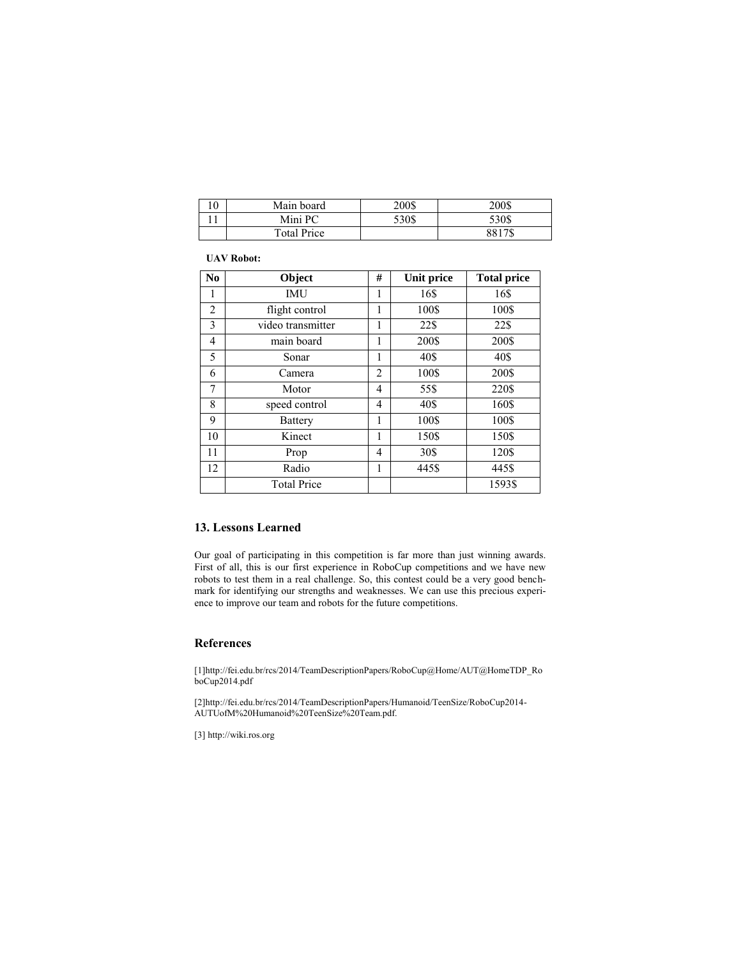| ιv | Main board  | 200\$ | 200\$  |
|----|-------------|-------|--------|
|    | Mini PC     | 530\$ | 530\$  |
|    | Total Price |       | 8817\$ |

## **UAV Robot:**

| No | Object             | # | <b>Unit price</b> | <b>Total price</b> |
|----|--------------------|---|-------------------|--------------------|
| 1  | IMU                | 1 | 16\$              | 16\$               |
| 2  | flight control     | 1 | 100\$             | 100\$              |
| 3  | video transmitter  | 1 | 22\$              | 22\$               |
| 4  | main board         | 1 | 200\$             | 200\$              |
| 5  | Sonar              | 1 | 40\$              | 40\$               |
| 6  | Camera             | 2 | 100\$             | 200\$              |
| 7  | Motor              | 4 | 55\$              | 220\$              |
| 8  | speed control      | 4 | 40\$              | 160\$              |
| 9  | <b>Battery</b>     | 1 | 100\$             | 100\$              |
| 10 | Kinect             | 1 | 150\$             | 150\$              |
| 11 | Prop               | 4 | 30\$              | 120\$              |
| 12 | Radio              | 1 | 445\$             | 445\$              |
|    | <b>Total Price</b> |   |                   | 1593\$             |

## **13. Lessons Learned**

Our goal of participating in this competition is far more than just winning awards. First of all, this is our first experience in RoboCup competitions and we have new robots to test them in a real challenge. So, this contest could be a very good benchmark for identifying our strengths and weaknesses. We can use this precious experience to improve our team and robots for the future competitions.

## **References**

[1]http://fei.edu.br/rcs/2014/TeamDescriptionPapers/RoboCup@Home/AUT@HomeTDP\_Ro boCup2014.pdf

[2]http://fei.edu.br/rcs/2014/TeamDescriptionPapers/Humanoid/TeenSize/RoboCup2014- AUTUofM%20Humanoid%20TeenSize%20Team.pdf.

[3] http://wiki.ros.org